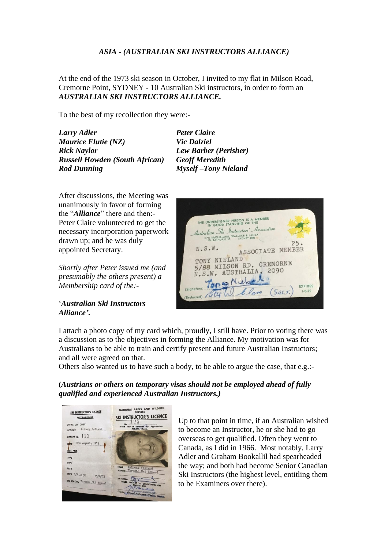## *ASIA - (AUSTRALIAN SKI INSTRUCTORS ALLIANCE)*

At the end of the 1973 ski season in October, I invited to my flat in Milson Road, Cremorne Point, SYDNEY - 10 Australian Ski instructors, in order to form an *AUSTRALIAN SKI INSTRUCTORS ALLIANCE.*

To the best of my recollection they were:-

*Larry Adler Peter Claire Maurice Flutie (NZ) Vic Dalziel Russell Howden (South African) Geoff Meredith Rod Dunning Myself –Tony Nieland*

*Lew Barber (Perisher)* 

After discussions, the Meeting was unanimously in favor of forming the "*Alliance*" there and then:- Peter Claire volunteered to get the necessary incorporation paperwork drawn up; and he was duly appointed Secretary.

*Shortly after Peter issued me (and presumably the others present) a Membership card of the:-*

'*Australian Ski Instructors Alliance'***.**



I attach a photo copy of my card which, proudly, I still have. Prior to voting there was a discussion as to the objectives in forming the Alliance. My motivation was for Australians to be able to train and certify present and future Australian Instructors; and all were agreed on that.

Others also wanted us to have such a body, to be able to argue the case, that e.g.:-

**(***Austrians or others on temporary visas should not be employed ahead of fully qualified and experienced Australian Instructors.)*



Up to that point in time, if an Australian wished to become an Instructor, he or she had to go overseas to get qualified. Often they went to Canada, as I did in 1966. Most notably, Larry Adler and Graham Bookallil had spearheaded the way; and both had become Senior Canadian Ski Instructors (the highest level, entitling them to be Examiners over there).